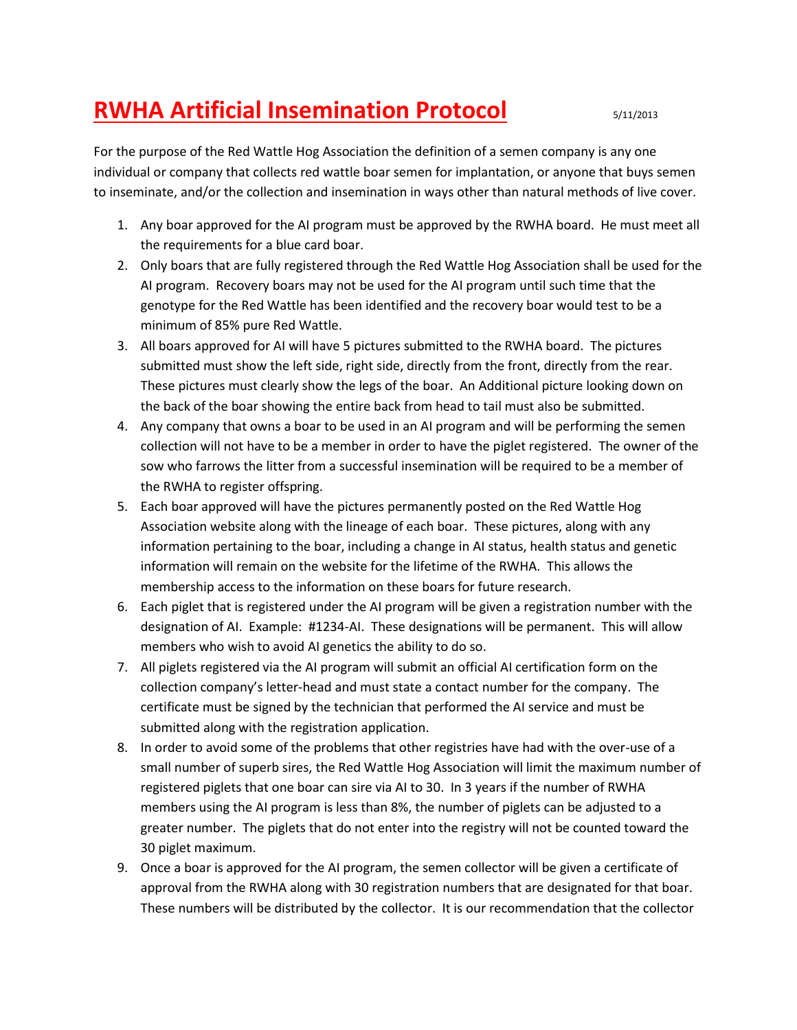## **RWHA Artificial Insemination Protocol** 5/11/2013

For the purpose of the Red Wattle Hog Association the definition of a semen company is any one individual or company that collects red wattle boar semen for implantation, or anyone that buys semen to inseminate, and/or the collection and insemination in ways other than natural methods of live cover.

- 1. Any boar approved for the AI program must be approved by the RWHA board. He must meet all the requirements for a blue card boar.
- 2. Only boars that are fully registered through the Red Wattle Hog Association shall be used for the AI program. Recovery boars may not be used for the AI program until such time that the genotype for the Red Wattle has been identified and the recovery boar would test to be a minimum of 85% pure Red Wattle.
- 3. All boars approved for AI will have 5 pictures submitted to the RWHA board. The pictures submitted must show the left side, right side, directly from the front, directly from the rear. These pictures must clearly show the legs of the boar. An Additional picture looking down on the back of the boar showing the entire back from head to tail must also be submitted.
- 4. Any company that owns a boar to be used in an AI program and will be performing the semen collection will not have to be a member in order to have the piglet registered. The owner of the sow who farrows the litter from a successful insemination will be required to be a member of the RWHA to register offspring.
- 5. Each boar approved will have the pictures permanently posted on the Red Wattle Hog Association website along with the lineage of each boar. These pictures, along with any information pertaining to the boar, including a change in AI status, health status and genetic information will remain on the website for the lifetime of the RWHA. This allows the membership access to the information on these boars for future research.
- 6. Each piglet that is registered under the AI program will be given a registration number with the designation of AI. Example: #1234-AI. These designations will be permanent. This will allow members who wish to avoid AI genetics the ability to do so.
- 7. All piglets registered via the AI program will submit an official AI certification form on the collection company's letter-head and must state a contact number for the company. The certificate must be signed by the technician that performed the AI service and must be submitted along with the registration application.
- 8. In order to avoid some of the problems that other registries have had with the over-use of a small number of superb sires, the Red Wattle Hog Association will limit the maximum number of registered piglets that one boar can sire via AI to 30. In 3 years if the number of RWHA members using the AI program is less than 8%, the number of piglets can be adjusted to a greater number. The piglets that do not enter into the registry will not be counted toward the 30 piglet maximum.
- 9. Once a boar is approved for the AI program, the semen collector will be given a certificate of approval from the RWHA along with 30 registration numbers that are designated for that boar. These numbers will be distributed by the collector. It is our recommendation that the collector